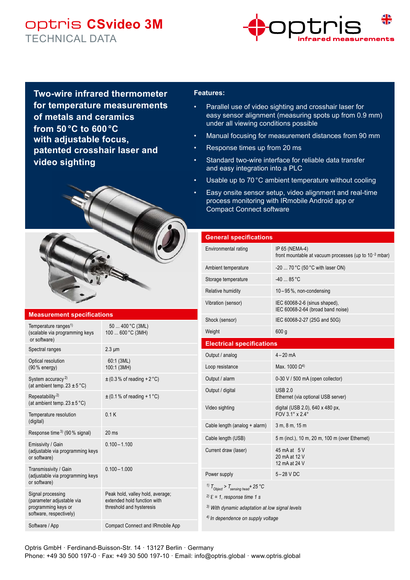# optris **CSvideo 3M** TECHNICAL DATA



**Two-wire infrared thermometer for temperature measurements of metals and ceramics from 50 °C to 600 °C with adjustable focus, patented crosshair laser and video sighting**



#### **Measurement specifications**

| Temperature ranges <sup>1)</sup><br>(scalable via programming keys<br>or software)               | 50  400 °C (3ML)<br>100  600 °C (3MH)                                                       |
|--------------------------------------------------------------------------------------------------|---------------------------------------------------------------------------------------------|
| Spectral ranges                                                                                  | $2.3 \mu m$                                                                                 |
| Optical resolution<br>(90 % energy)                                                              | 60:1 (3ML)<br>100:1 (3MH)                                                                   |
| System accuracy <sup>2)</sup><br>(at ambient temp. $23 \pm 5^{\circ}$ C)                         | $\pm$ (0.3% of reading +2°C)                                                                |
| Repeatability <sup>2)</sup><br>(at ambient temp. $23 \pm 5^{\circ}$ C)                           | $\pm$ (0.1% of reading + 1 °C)                                                              |
| Temperature resolution<br>(digital)                                                              | 0.1K                                                                                        |
| Response time 3) (90 % signal)                                                                   | 20 <sub>ms</sub>                                                                            |
| Emissivity / Gain<br>(adjustable via programming keys<br>or software)                            | $0.100 - 1.100$                                                                             |
| Transmissivity / Gain<br>(adjustable via programming keys<br>or software)                        | $0.100 - 1.000$                                                                             |
| Signal processing<br>(parameter adjustable via<br>programming keys or<br>software, respectively) | Peak hold, valley hold, average;<br>extended hold function with<br>threshold and hysteresis |
|                                                                                                  |                                                                                             |

Software / App **Compact Connect and IRmobile App** 

### **Features:**

- Parallel use of video sighting and crosshair laser for easy sensor alignment (measuring spots up from 0.9 mm) under all viewing conditions possible
- Manual focusing for measurement distances from 90 mm
- Response times up from 20 ms
- Standard two-wire interface for reliable data transfer and easy integration into a PLC
- Usable up to 70 °C ambient temperature without cooling
- Easy onsite sensor setup, video alignment and real-time process monitoring with IRmobile Android app or Compact Connect software

| <b>General specifications</b>                                                                                                                                             |                                                                                     |
|---------------------------------------------------------------------------------------------------------------------------------------------------------------------------|-------------------------------------------------------------------------------------|
| Environmental rating                                                                                                                                                      | IP 65 (NEMA-4)<br>front mountable at vacuum processes (up to 10 <sup>-3</sup> mbar) |
| Ambient temperature                                                                                                                                                       | -20  70 °C (50 °C with laser ON)                                                    |
| Storage temperature                                                                                                                                                       | $-40$ 85 °C                                                                         |
| Relative humidity                                                                                                                                                         | $10-95$ %, non-condensing                                                           |
| Vibration (sensor)                                                                                                                                                        | IEC 60068-2-6 (sinus shaped),<br>IEC 60068-2-64 (broad band noise)                  |
| Shock (sensor)                                                                                                                                                            | IEC 60068-2-27 (25G and 50G)                                                        |
| Weight                                                                                                                                                                    | 600 g                                                                               |
| <b>Electrical specifications</b>                                                                                                                                          |                                                                                     |
| Output / analog                                                                                                                                                           | $4 - 20$ mA                                                                         |
| Loop resistance                                                                                                                                                           | Max. 1000 $\Omega^{4}$                                                              |
| Output / alarm                                                                                                                                                            | 0-30 V / 500 mA (open collector)                                                    |
| Output / digital                                                                                                                                                          | <b>USB 2.0</b><br>Ethernet (via optional USB server)                                |
| Video sighting                                                                                                                                                            | digital (USB 2.0), 640 x 480 px,<br>FOV 3.1° x 2.4°                                 |
| Cable length (analog + alarm)                                                                                                                                             | 3 m, 8 m, 15 m                                                                      |
| Cable length (USB)                                                                                                                                                        | 5 m (incl.), 10 m, 20 m, 100 m (over Ethernet)                                      |
| Current draw (laser)                                                                                                                                                      | 45 mA at 5 V<br>20 mA at 12 V<br>12 mA at 24 V                                      |
| Power supply                                                                                                                                                              | $5-28$ V DC                                                                         |
| <sup>1)</sup> $T_{Object}$ > $T_{sensing\ head}$ + 25 °C<br><sup>2)</sup> $\epsilon$ = 1, response time 1 s<br><sup>3)</sup> With dynamic adaptation at low signal levels |                                                                                     |

*4) In dependence on supply voltage*